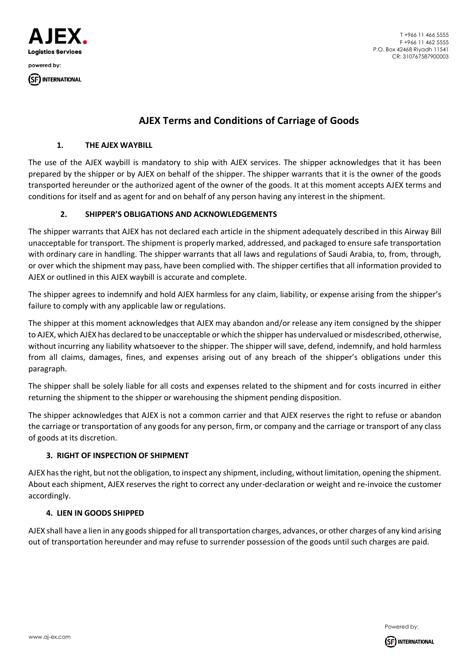

T +966 11 466 5555 F +966 11 462 5555 P.O. Box 42468 Riyadh 11541 CR: 310767587900003

# **AJEX Terms and Conditions of Carriage of Goods**

# **1. THE AJEX WAYBILL**

The use of the AJEX waybill is mandatory to ship with AJEX services. The shipper acknowledges that it has been prepared by the shipper or by AJEX on behalf of the shipper. The shipper warrants that it is the owner of the goods transported hereunder or the authorized agent of the owner of the goods. It at this moment accepts AJEX terms and conditions for itself and as agent for and on behalf of any person having any interest in the shipment.

# **2. SHIPPER'S OBLIGATIONS AND ACKNOWLEDGEMENTS**

The shipper warrants that AJEX has not declared each article in the shipment adequately described in this Airway Bill unacceptable for transport. The shipment is properly marked, addressed, and packaged to ensure safe transportation with ordinary care in handling. The shipper warrants that all laws and regulations of Saudi Arabia, to, from, through, or over which the shipment may pass, have been complied with. The shipper certifies that all information provided to AJEX or outlined in this AJEX waybill is accurate and complete.

The shipper agrees to indemnify and hold AJEX harmless for any claim, liability, or expense arising from the shipper's failure to comply with any applicable law or regulations.

The shipper at this moment acknowledges that AJEX may abandon and/or release any item consigned by the shipper to AJEX, which AJEX has declared to be unacceptable or which the shipper has undervalued or misdescribed, otherwise, without incurring any liability whatsoever to the shipper. The shipper will save, defend, indemnify, and hold harmless from all claims, damages, fines, and expenses arising out of any breach of the shipper's obligations under this paragraph.

The shipper shall be solely liable for all costs and expenses related to the shipment and for costs incurred in either returning the shipment to the shipper or warehousing the shipment pending disposition.

The shipper acknowledges that AJEX is not a common carrier and that AJEX reserves the right to refuse or abandon the carriage or transportation of any goods for any person, firm, or company and the carriage or transport of any class of goods at its discretion.

# **3. RIGHT OF INSPECTION OF SHIPMENT**

AJEX has the right, but not the obligation, to inspect any shipment, including, without limitation, opening the shipment. About each shipment, AJEX reserves the right to correct any under-declaration or weight and re-invoice the customer accordingly.

# **4. LIEN IN GOODS SHIPPED**

AJEX shall have a lien in any goods shipped for all transportation charges, advances, or other charges of any kind arising out of transportation hereunder and may refuse to surrender possession of the goods until such charges are paid.

Powered by:

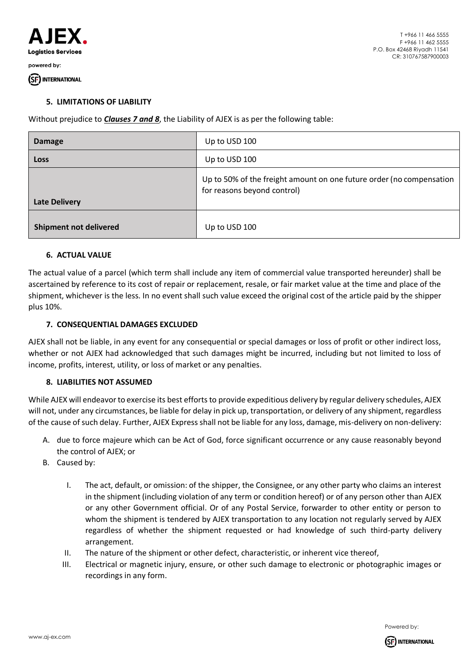

#### (SF) INTERNATIONAL

#### **5. LIMITATIONS OF LIABILITY**

Without prejudice to *Clauses 7 and 8*, the Liability of AJEX is as per the following table:

| <b>Damage</b>                 | Up to USD 100                                                                                       |
|-------------------------------|-----------------------------------------------------------------------------------------------------|
| Loss                          | Up to USD 100                                                                                       |
| <b>Late Delivery</b>          | Up to 50% of the freight amount on one future order (no compensation<br>for reasons beyond control) |
| <b>Shipment not delivered</b> | Up to USD 100                                                                                       |

# **6. ACTUAL VALUE**

The actual value of a parcel (which term shall include any item of commercial value transported hereunder) shall be ascertained by reference to its cost of repair or replacement, resale, or fair market value at the time and place of the shipment, whichever is the less. In no event shall such value exceed the original cost of the article paid by the shipper plus 10%.

#### **7. CONSEQUENTIAL DAMAGES EXCLUDED**

AJEX shall not be liable, in any event for any consequential or special damages or loss of profit or other indirect loss, whether or not AJEX had acknowledged that such damages might be incurred, including but not limited to loss of income, profits, interest, utility, or loss of market or any penalties.

# **8. LIABILITIES NOT ASSUMED**

While AJEX will endeavor to exercise its best efforts to provide expeditious delivery by regular delivery schedules, AJEX will not, under any circumstances, be liable for delay in pick up, transportation, or delivery of any shipment, regardless of the cause of such delay. Further, AJEX Express shall not be liable for any loss, damage, mis-delivery on non-delivery:

- A. due to force majeure which can be Act of God, force significant occurrence or any cause reasonably beyond the control of AJEX; or
- B. Caused by:
	- I. The act, default, or omission: of the shipper, the Consignee, or any other party who claims an interest in the shipment (including violation of any term or condition hereof) or of any person other than AJEX or any other Government official. Or of any Postal Service, forwarder to other entity or person to whom the shipment is tendered by AJEX transportation to any location not regularly served by AJEX regardless of whether the shipment requested or had knowledge of such third-party delivery arrangement.
	- II. The nature of the shipment or other defect, characteristic, or inherent vice thereof,
	- III. Electrical or magnetic injury, ensure, or other such damage to electronic or photographic images or recordings in any form.